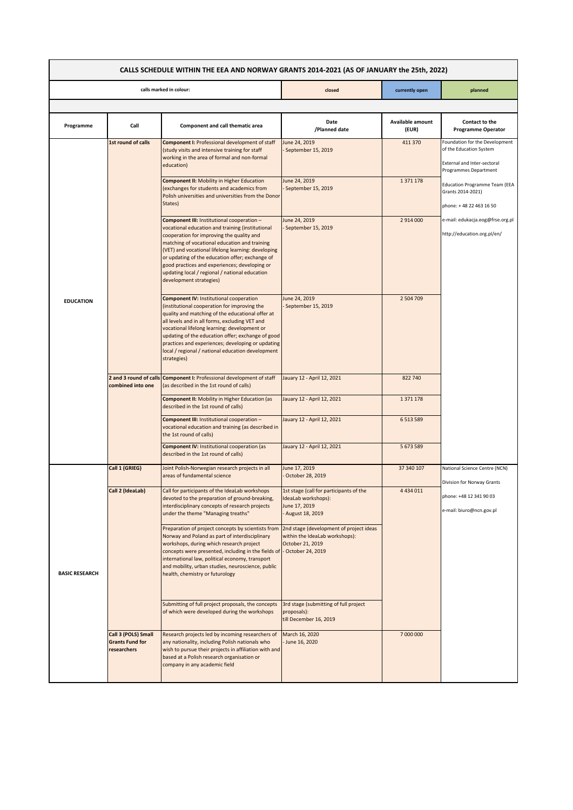| CALLS SCHEDULE WITHIN THE EEA AND NORWAY GRANTS 2014-2021 (AS OF JANUARY the 25th, 2022) |                                                              |                                                                                                                                                                                                                                                                                                                                                                                                                                     |                                                                                                    |                           |                                                                                                                   |  |  |
|------------------------------------------------------------------------------------------|--------------------------------------------------------------|-------------------------------------------------------------------------------------------------------------------------------------------------------------------------------------------------------------------------------------------------------------------------------------------------------------------------------------------------------------------------------------------------------------------------------------|----------------------------------------------------------------------------------------------------|---------------------------|-------------------------------------------------------------------------------------------------------------------|--|--|
| calls marked in colour:                                                                  |                                                              |                                                                                                                                                                                                                                                                                                                                                                                                                                     | closed                                                                                             | currently open            | planned                                                                                                           |  |  |
|                                                                                          |                                                              |                                                                                                                                                                                                                                                                                                                                                                                                                                     |                                                                                                    |                           |                                                                                                                   |  |  |
| Programme                                                                                | Call                                                         | <b>Component and call thematic area</b>                                                                                                                                                                                                                                                                                                                                                                                             | Date<br>/Planned date                                                                              | Available amount<br>(EUR) | Contact to the<br><b>Programme Operator</b>                                                                       |  |  |
| <b>EDUCATION</b>                                                                         | 1st round of calls                                           | <b>Component I: Professional development of staff</b><br>(study visits and intensive training for staff<br>working in the area of formal and non-formal<br>education)                                                                                                                                                                                                                                                               | June 24, 2019<br>September 15, 2019                                                                | 411 370                   | Foundation for the Development<br>of the Education System<br>External and Inter-sectoral<br>Programmes Department |  |  |
|                                                                                          |                                                              | <b>Component II: Mobility in Higher Education</b><br>(exchanges for students and academics from<br>Polish universities and universities from the Donor<br>States)                                                                                                                                                                                                                                                                   | June 24, 2019<br>September 15, 2019                                                                | 1 371 178                 | <b>Education Programme Team (EEA</b><br>Grants 2014-2021)<br>phone: +48 22 463 16 50                              |  |  |
|                                                                                          |                                                              | Component III: Institutional cooperation -<br>vocational education and training (institutional<br>cooperation for improving the quality and<br>matching of vocational education and training<br>(VET) and vocational lifelong learning: developing<br>or updating of the education offer; exchange of<br>good practices and experiences; developing or<br>updating local / regional / national education<br>development strategies) | June 24, 2019<br>September 15, 2019                                                                | 2 914 000                 | e-mail: edukacja.eog@frse.org.pl<br>http://education.org.pl/en/                                                   |  |  |
|                                                                                          |                                                              | <b>Component IV: Institutional cooperation</b><br>(institutional cooperation for improving the<br>quality and matching of the educational offer at<br>all levels and in all forms, excluding VET and<br>vocational lifelong learning: development or<br>updating of the education offer; exchange of good<br>practices and experiences; developing or updating<br>local / regional / national education development<br>strategies)  | June 24, 2019<br>September 15, 2019                                                                | 2 504 709                 |                                                                                                                   |  |  |
|                                                                                          | 2 and 3 round of calls<br>combined into one                  | <b>Component I: Professional development of staff</b><br>(as described in the 1st round of calls)                                                                                                                                                                                                                                                                                                                                   | Jauary 12 - April 12, 2021                                                                         | 822 740                   |                                                                                                                   |  |  |
|                                                                                          |                                                              | <b>Component II:</b> Mobility in Higher Education (as<br>described in the 1st round of calls)                                                                                                                                                                                                                                                                                                                                       | Jauary 12 - April 12, 2021                                                                         | 1 371 178                 |                                                                                                                   |  |  |
|                                                                                          |                                                              | Component III: Institutional cooperation -<br>vocational education and training (as described in<br>the 1st round of calls)                                                                                                                                                                                                                                                                                                         | Jauary 12 - April 12, 2021                                                                         | 6 5 13 5 8 9              |                                                                                                                   |  |  |
|                                                                                          |                                                              | Component IV: Institutional cooperation (as<br>described in the 1st round of calls)                                                                                                                                                                                                                                                                                                                                                 | Jauary 12 - April 12, 2021                                                                         | 5 673 589                 |                                                                                                                   |  |  |
| <b>BASIC RESEARCH</b>                                                                    | Call 1 (GRIEG)                                               | Joint Polish-Norwegian research projects in all<br>areas of fundamental science                                                                                                                                                                                                                                                                                                                                                     | June 17, 2019<br>October 28, 2019                                                                  | 37 340 107                | National Science Centre (NCN)<br>Division for Norway Grants                                                       |  |  |
|                                                                                          | Call 2 (IdeaLab)                                             | Call for participants of the IdeaLab workshops<br>devoted to the preparation of ground-breaking,<br>interdisciplinary concepts of research projects<br>under the theme "Managing treaths"                                                                                                                                                                                                                                           | 1st stage (call for participants of the<br>IdeaLab workshops):<br>June 17, 2019<br>August 18, 2019 | 4 4 3 4 0 1 1             | phone: +48 12 341 90 03<br>e-mail: biuro@ncn.gov.pl                                                               |  |  |
|                                                                                          |                                                              | Preparation of project concepts by scientists from<br>Norway and Poland as part of interdisciplinary<br>workshops, during which research project<br>concepts were presented, including in the fields of - October 24, 2019<br>international law, political economy, transport<br>and mobility, urban studies, neuroscience, public<br>health, chemistry or futurology                                                               | 2nd stage (development of project ideas<br>within the IdeaLab workshops):<br>October 21, 2019      |                           |                                                                                                                   |  |  |
|                                                                                          |                                                              | Submitting of full project proposals, the concepts<br>of which were developed during the workshops                                                                                                                                                                                                                                                                                                                                  | 3rd stage (submitting of full project<br>proposals):<br>till December 16, 2019                     |                           |                                                                                                                   |  |  |
|                                                                                          | Call 3 (POLS) Small<br><b>Grants Fund for</b><br>researchers | Research projects led by incoming researchers of<br>any nationality, including Polish nationals who<br>wish to pursue their projects in affiliation with and<br>based at a Polish research organisation or<br>company in any academic field                                                                                                                                                                                         | March 16, 2020<br>June 16, 2020                                                                    | 7 000 000                 |                                                                                                                   |  |  |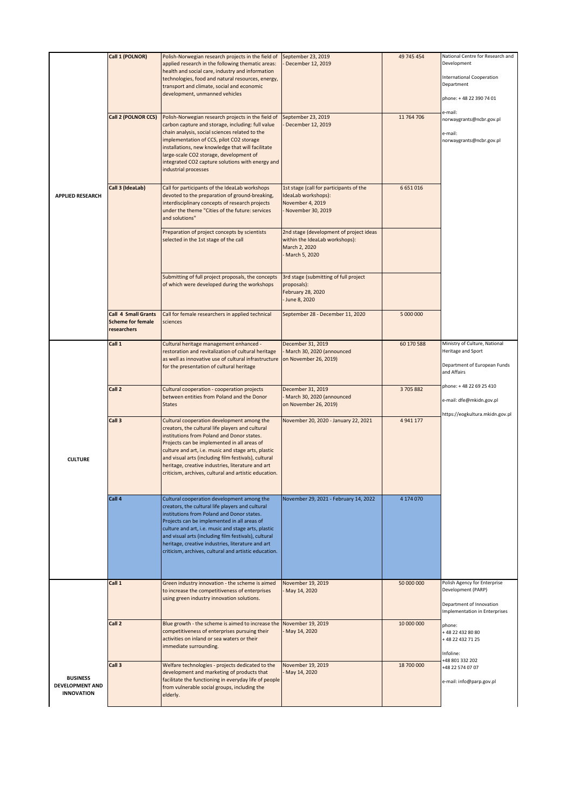|                                                         | Call 1 (POLNOR)                                                       | Polish-Norwegian research projects in the field of<br>applied research in the following thematic areas:<br>health and social care, industry and information                                                                                                                                                                                                                                                              | September 23, 2019<br>December 12, 2019                                                                       | 49 745 454    | National Centre for Research and<br>Development                                                                 |
|---------------------------------------------------------|-----------------------------------------------------------------------|--------------------------------------------------------------------------------------------------------------------------------------------------------------------------------------------------------------------------------------------------------------------------------------------------------------------------------------------------------------------------------------------------------------------------|---------------------------------------------------------------------------------------------------------------|---------------|-----------------------------------------------------------------------------------------------------------------|
| <b>APPLIED RESEARCH</b>                                 |                                                                       | technologies, food and natural resources, energy,<br>transport and climate, social and economic<br>development, unmanned vehicles                                                                                                                                                                                                                                                                                        |                                                                                                               |               | <b>International Cooperation</b><br>Department<br>phone: +48 22 390 74 01                                       |
|                                                         |                                                                       |                                                                                                                                                                                                                                                                                                                                                                                                                          |                                                                                                               |               | e-mail:                                                                                                         |
|                                                         | Call 2 (POLNOR CCS)                                                   | Polish-Norwegian research projects in the field of<br>carbon capture and storage, including: full value<br>chain analysis, social sciences related to the<br>implementation of CCS, pilot CO2 storage<br>installations, new knowledge that will facilitate<br>large-scale CO2 storage, development of<br>integrated CO2 capture solutions with energy and<br>industrial processes                                        | September 23, 2019<br>December 12, 2019                                                                       | 11 764 706    | norwaygrants@ncbr.gov.pl<br>e-mail:<br>norwaygrants@ncbr.gov.pl                                                 |
|                                                         | Call 3 (IdeaLab)                                                      | Call for participants of the IdeaLab workshops<br>devoted to the preparation of ground-breaking,<br>interdisciplinary concepts of research projects<br>under the theme "Cities of the future: services<br>and solutions"                                                                                                                                                                                                 | 1st stage (call for participants of the<br>IdeaLab workshops):<br>November 4, 2019<br>November 30, 2019       | 6 6 5 1 0 1 6 |                                                                                                                 |
|                                                         |                                                                       | Preparation of project concepts by scientists<br>selected in the 1st stage of the call                                                                                                                                                                                                                                                                                                                                   | 2nd stage (development of project ideas<br>within the IdeaLab workshops):<br>March 2, 2020<br>- March 5, 2020 |               |                                                                                                                 |
|                                                         |                                                                       | Submitting of full project proposals, the concepts<br>of which were developed during the workshops                                                                                                                                                                                                                                                                                                                       | 3rd stage (submitting of full project<br>proposals):<br>February 28, 2020<br>- June 8, 2020                   |               |                                                                                                                 |
| <b>CULTURE</b>                                          | <b>Call 4 Small Grants</b><br><b>Scheme for female</b><br>researchers | Call for female researchers in applied technical<br>sciences                                                                                                                                                                                                                                                                                                                                                             | September 28 - December 11, 2020                                                                              | 5 000 000     |                                                                                                                 |
|                                                         | Call 1                                                                | Cultural heritage management enhanced -<br>restoration and revitalization of cultural heritage<br>as well as innovative use of cultural infrastructure<br>for the presentation of cultural heritage                                                                                                                                                                                                                      | December 31, 2019<br>March 30, 2020 (announced<br>on November 26, 2019)                                       | 60 170 588    | Ministry of Culture, National<br>Heritage and Sport<br>Department of European Funds<br>and Affairs              |
|                                                         | Call 2                                                                | Cultural cooperation - cooperation projects<br>between entities from Poland and the Donor<br><b>States</b>                                                                                                                                                                                                                                                                                                               | December 31, 2019<br>March 30, 2020 (announced<br>on November 26, 2019)                                       | 3705882       | phone: + 48 22 69 25 410<br>e-mail: dfe@mkidn.gov.pl                                                            |
|                                                         | Call 3                                                                | Cultural cooperation development among the<br>creators, the cultural life players and cultural<br>institutions from Poland and Donor states.<br>Projects can be implemented in all areas of<br>culture and art, i.e. music and stage arts, plastic<br>and visual arts (including film festivals), cultural<br>heritage, creative industries, literature and art<br>criticism, archives, cultural and artistic education. | November 20, 2020 - January 22, 2021                                                                          | 4 941 177     | https://eogkultura.mkidn.gov.pl                                                                                 |
|                                                         | Call 4                                                                | Cultural cooperation development among the<br>creators, the cultural life players and cultural<br>institutions from Poland and Donor states.<br>Projects can be implemented in all areas of<br>culture and art, i.e. music and stage arts, plastic<br>and visual arts (including film festivals), cultural<br>heritage, creative industries, literature and art<br>criticism, archives, cultural and artistic education. | November 29, 2021 - February 14, 2022                                                                         | 4 174 070     |                                                                                                                 |
|                                                         | Call 1                                                                | Green industry innovation - the scheme is aimed<br>to increase the competitiveness of enterprises<br>using green industry innovation solutions.                                                                                                                                                                                                                                                                          | November 19, 2019<br>May 14, 2020                                                                             | 50 000 000    | Polish Agency for Enterprise<br>Development (PARP)<br>Department of Innovation<br>Implementation in Enterprises |
|                                                         | Call 2                                                                | Blue growth - the scheme is aimed to increase the November 19, 2019<br>competitiveness of enterprises pursuing their<br>activities on inland or sea waters or their<br>immediate surrounding.                                                                                                                                                                                                                            | May 14, 2020                                                                                                  | 10 000 000    | phone:<br>+48 22 432 80 80<br>+48 22 432 71 25<br>Infoline:                                                     |
| <b>BUSINESS</b><br>DEVELOPMENT AND<br><b>INNOVATION</b> | Call 3                                                                | Welfare technologies - projects dedicated to the<br>development and marketing of products that<br>facilitate the functioning in everyday life of people<br>from vulnerable social groups, including the<br>elderly.                                                                                                                                                                                                      | November 19, 2019<br>May 14, 2020                                                                             | 18 700 000    | +48 801 332 202<br>+48 22 574 07 07<br>e-mail: info@parp.gov.pl                                                 |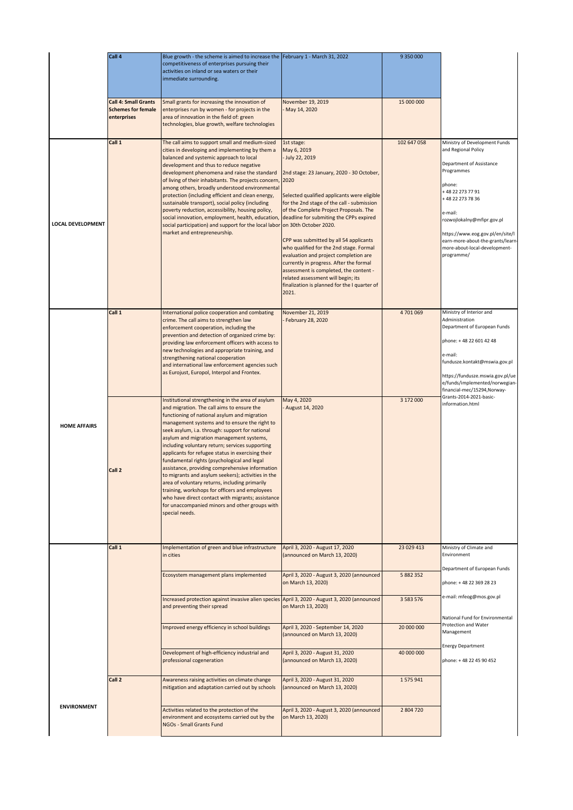|                          | Call 4                                                                  | Blue growth - the scheme is aimed to increase the February 1 - March 31, 2022<br>competitiveness of enterprises pursuing their<br>activities on inland or sea waters or their<br>immediate surrounding.                                                                                                                                                                                                                                                                                                                                                                                                                                                                                                                                                                                      |                                                                                                                                                                                                                                                                                                                                                                                                                                                                                                                                                  | 9 350 000                  |                                                                                                                                                                                                                                                                                                                  |
|--------------------------|-------------------------------------------------------------------------|----------------------------------------------------------------------------------------------------------------------------------------------------------------------------------------------------------------------------------------------------------------------------------------------------------------------------------------------------------------------------------------------------------------------------------------------------------------------------------------------------------------------------------------------------------------------------------------------------------------------------------------------------------------------------------------------------------------------------------------------------------------------------------------------|--------------------------------------------------------------------------------------------------------------------------------------------------------------------------------------------------------------------------------------------------------------------------------------------------------------------------------------------------------------------------------------------------------------------------------------------------------------------------------------------------------------------------------------------------|----------------------------|------------------------------------------------------------------------------------------------------------------------------------------------------------------------------------------------------------------------------------------------------------------------------------------------------------------|
|                          | <b>Call 4: Small Grants</b><br><b>Schemes for female</b><br>enterprises | Small grants for increasing the innovation of<br>enterprises run by women - for projects in the<br>area of innovation in the field of: green<br>technologies, blue growth, welfare technologies                                                                                                                                                                                                                                                                                                                                                                                                                                                                                                                                                                                              | November 19, 2019<br>May 14, 2020                                                                                                                                                                                                                                                                                                                                                                                                                                                                                                                | 15 000 000                 |                                                                                                                                                                                                                                                                                                                  |
| <b>LOCAL DEVELOPMENT</b> | Call 1                                                                  | The call aims to support small and medium-sized<br>cities in developing and implementing by them a<br>balanced and systemic approach to local<br>development and thus to reduce negative<br>development phenomena and raise the standard<br>of living of their inhabitants. The projects concern, 2020<br>among others, broadly understood environmental<br>protection (including efficient and clean energy,<br>sustainable transport), social policy (including<br>poverty reduction, accessibility, housing policy,<br>social innovation, employment, health, education, deadline for submiting the CPPs expired<br>social participation) and support for the local labor on 30th October 2020.<br>market and entrepreneurship.                                                           | 1st stage:<br>May 6, 2019<br>July 22, 2019<br>2nd stage: 23 January, 2020 - 30 October,<br>Selected qualified applicants were eligible<br>for the 2nd stage of the call - submission<br>of the Complete Project Proposals. The<br>CPP was submitted by all 54 applicants<br>who qualified for the 2nd stage. Formal<br>evaluation and project completion are<br>currently in progress. After the formal<br>assessment is completed, the content -<br>related assessment will begin; its<br>finalization is planned for the I quarter of<br>2021. | 102 647 058                | Ministry of Development Funds<br>and Regional Policy<br>Department of Assistance<br>Programmes<br>phone:<br>+48 22 273 77 91<br>+48 22 273 78 36<br>e-mail:<br>rozwojlokalny@mfipr.gov.pl<br>https://www.eog.gov.pl/en/site/l<br>earn-more-about-the-grants/learn<br>more-about-local-development-<br>programme/ |
|                          | Call 1                                                                  | International police cooperation and combating<br>crime. The call aims to strengthen law<br>enforcement cooperation, including the<br>prevention and detection of organized crime by:<br>providing law enforcement officers with access to<br>new technologies and appropriate training, and<br>strengthening national cooperation<br>and international law enforcement agencies such<br>as Eurojust, Europol, Interpol and Frontex.                                                                                                                                                                                                                                                                                                                                                         | November 21, 2019<br>February 28, 2020                                                                                                                                                                                                                                                                                                                                                                                                                                                                                                           | 4 701 069                  | Ministry of Interior and<br>Administration<br>Department of European Funds<br>phone: +48 22 601 42 48<br>e-mail:<br>fundusze.kontakt@mswia.gov.pl<br>https://fundusze.mswia.gov.pl/ue<br>e/funds/implemented/norwegian-<br>financial-mec/15294, Norway-                                                          |
| <b>HOME AFFAIRS</b>      | Call 2                                                                  | Institutional strengthening in the area of asylum<br>and migration. The call aims to ensure the<br>functioning of national asylum and migration<br>management systems and to ensure the right to<br>seek asylum, i.a. through: support for national<br>asylum and migration management systems,<br>including voluntary return; services supporting<br>applicants for refugee status in exercising their<br>fundamental rights (psychological and legal<br>assistance, providing comprehensive information<br>to migrants and asylum seekers); activities in the<br>area of voluntary returns, including primarily<br>training, workshops for officers and employees<br>who have direct contact with migrants; assistance<br>for unaccompanied minors and other groups with<br>special needs. | May 4, 2020<br>- August 14, 2020                                                                                                                                                                                                                                                                                                                                                                                                                                                                                                                 | 3 172 000                  | Grants-2014-2021-basic-<br>information.html                                                                                                                                                                                                                                                                      |
|                          | Call 1                                                                  | Implementation of green and blue infrastructure<br>in cities                                                                                                                                                                                                                                                                                                                                                                                                                                                                                                                                                                                                                                                                                                                                 | April 3, 2020 - August 17, 2020<br>(announced on March 13, 2020)                                                                                                                                                                                                                                                                                                                                                                                                                                                                                 | 23 029 413                 | Ministry of Climate and<br>Environment<br>Department of European Funds                                                                                                                                                                                                                                           |
|                          |                                                                         | Ecosystem management plans implemented<br>Increased protection against invasive alien species April 3, 2020 - August 3, 2020 (announced                                                                                                                                                                                                                                                                                                                                                                                                                                                                                                                                                                                                                                                      | April 3, 2020 - August 3, 2020 (announced<br>on March 13, 2020)                                                                                                                                                                                                                                                                                                                                                                                                                                                                                  | 5 882 352<br>3 5 8 3 5 7 6 | phone: +48 22 369 28 23<br>e-mail: mfeog@mos.gov.pl                                                                                                                                                                                                                                                              |
|                          |                                                                         | and preventing their spread                                                                                                                                                                                                                                                                                                                                                                                                                                                                                                                                                                                                                                                                                                                                                                  | on March 13, 2020)                                                                                                                                                                                                                                                                                                                                                                                                                                                                                                                               |                            | National Fund for Environmental<br>Protection and Water                                                                                                                                                                                                                                                          |
|                          |                                                                         | Improved energy efficiency in school buildings                                                                                                                                                                                                                                                                                                                                                                                                                                                                                                                                                                                                                                                                                                                                               | April 3, 2020 - September 14, 2020<br>(announced on March 13, 2020)                                                                                                                                                                                                                                                                                                                                                                                                                                                                              | 20 000 000                 | Management<br><b>Energy Department</b>                                                                                                                                                                                                                                                                           |
|                          |                                                                         | Development of high-efficiency industrial and<br>professional cogeneration                                                                                                                                                                                                                                                                                                                                                                                                                                                                                                                                                                                                                                                                                                                   | April 3, 2020 - August 31, 2020<br>(announced on March 13, 2020)                                                                                                                                                                                                                                                                                                                                                                                                                                                                                 | 40 000 000                 | phone: +48 22 45 90 452                                                                                                                                                                                                                                                                                          |
|                          | Call 2                                                                  | Awareness raising activities on climate change<br>mitigation and adaptation carried out by schools                                                                                                                                                                                                                                                                                                                                                                                                                                                                                                                                                                                                                                                                                           | April 3, 2020 - August 31, 2020<br>(announced on March 13, 2020)                                                                                                                                                                                                                                                                                                                                                                                                                                                                                 | 1575941                    |                                                                                                                                                                                                                                                                                                                  |
| <b>ENVIRONMENT</b>       |                                                                         | Activities related to the protection of the<br>environment and ecosystems carried out by the<br>NGOs - Small Grants Fund                                                                                                                                                                                                                                                                                                                                                                                                                                                                                                                                                                                                                                                                     | April 3, 2020 - August 3, 2020 (announced<br>on March 13, 2020)                                                                                                                                                                                                                                                                                                                                                                                                                                                                                  | 2 804 720                  |                                                                                                                                                                                                                                                                                                                  |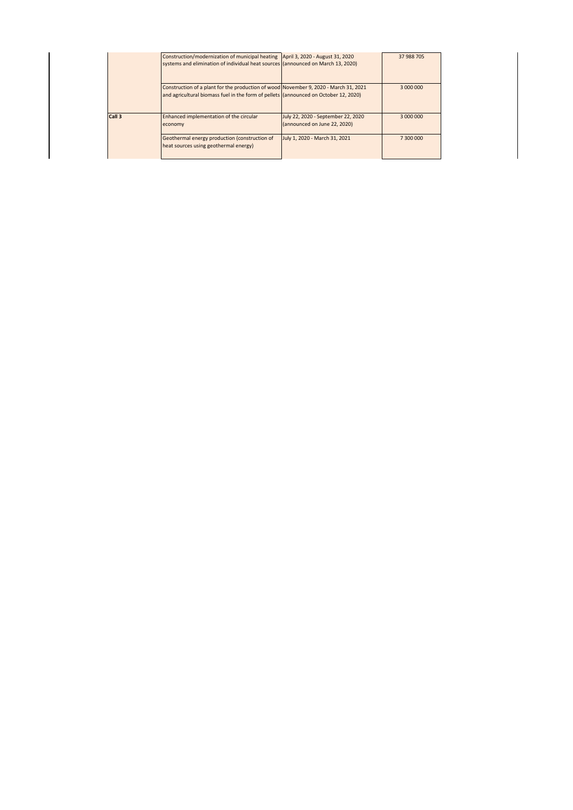|        | Construction/modernization of municipal heating   April 3, 2020 - August 31, 2020<br>systems and elimination of individual heat sources (announced on March 13, 2020)        |                                                                    | 37 988 705 |
|--------|------------------------------------------------------------------------------------------------------------------------------------------------------------------------------|--------------------------------------------------------------------|------------|
|        | Construction of a plant for the production of wood November 9, 2020 - March 31, 2021<br>and agricultural biomass fuel in the form of pellets (announced on October 12, 2020) |                                                                    | 3 000 000  |
| Call 3 | Enhanced implementation of the circular<br>economy                                                                                                                           | July 22, 2020 - September 22, 2020<br>(announced on June 22, 2020) | 3 000 000  |
|        | Geothermal energy production (construction of<br>heat sources using geothermal energy)                                                                                       | July 1, 2020 - March 31, 2021                                      | 7 300 000  |